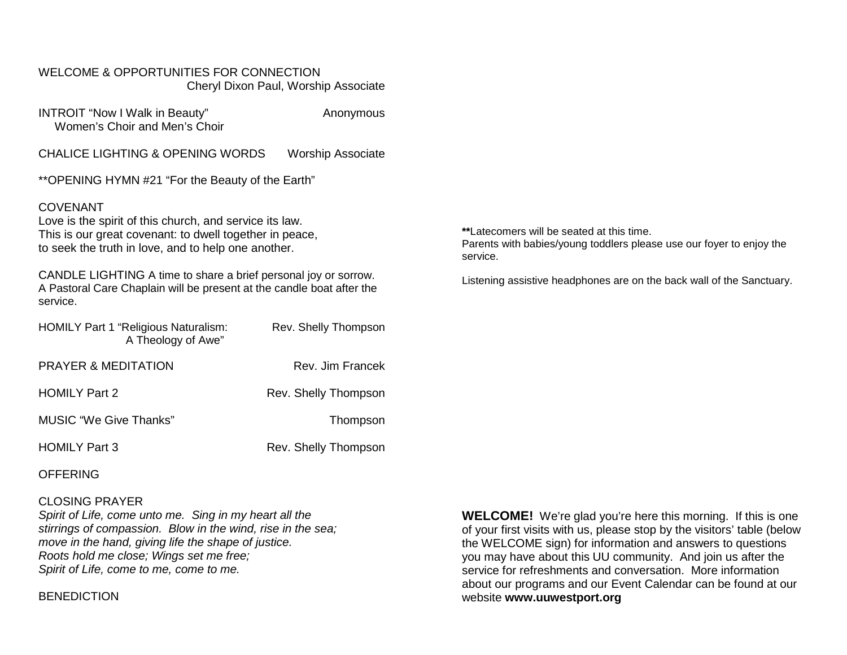#### WELCOME & OPPORTUNITIES FOR CONNECTION Cheryl Dixon Paul, Worship Associate

INTROIT "Now I Walk in Beauty" Anonymous Women's Choir and Men's Choir

CHALICE LIGHTING & OPENING WORDS Worship Associate

\*\*OPENING HYMN #21 "For the Beauty of the Earth"

#### COVENANT

Love is the spirit of this church, and service its law. This is our great covenant: to dwell together in peace, to seek the truth in love, and to help one another.

CANDLE LIGHTING A time to share a brief personal joy or sorrow. A Pastoral Care Chaplain will be present at the candle boat after the service.

| <b>HOMILY Part 1 "Religious Naturalism:</b><br>A Theology of Awe" | Rev. Shelly Thompson |
|-------------------------------------------------------------------|----------------------|
| <b>PRAYER &amp; MEDITATION</b>                                    | Rev. Jim Francek     |
| <b>HOMILY Part 2</b>                                              | Rev. Shelly Thompson |
| <b>MUSIC "We Give Thanks"</b>                                     | Thompson             |
| <b>HOMILY Part 3</b>                                              | Rev. Shelly Thompson |

**OFFERING** 

#### CLOSING PRAYER

*Spirit of Life, come unto me. Sing in my heart all the stirrings of compassion. Blow in the wind, rise in the sea; move in the hand, giving life the shape of justice. Roots hold me close; Wings set me free; Spirit of Life, come to me, come to me.*

**BENEDICTION** 

**WELCOME!** We're glad you're here this morning. If this is one of your first visits with us, please stop by the visitors' table (below the WELCOME sign) for information and answers to questions you may have about this UU community. And join us after the service for refreshments and conversation. More information about our programs and our Event Calendar can be found at our website **[www.uuwestport.org](http://www.uuwestport.org/)**

**\*\***Latecomers will be seated at this time. Parents with babies/young toddlers please use our foyer to enjoy the service.

Listening assistive headphones are on the back wall of the Sanctuary.